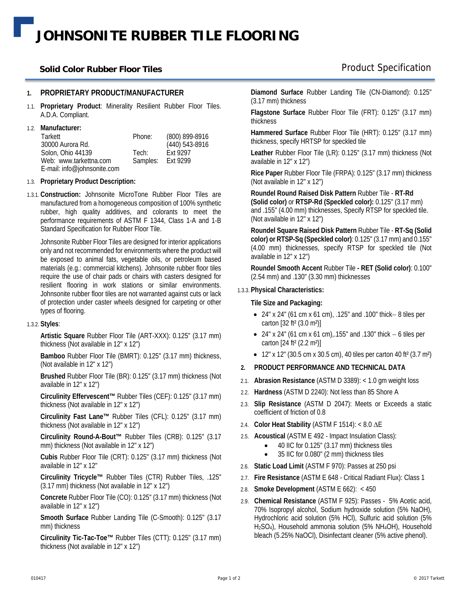# **JOHNSONITE RUBBER TILE FLOORING**

### **Solid Color Rubber Floor Tiles**

### **1. PROPRIETARY PRODUCT/MANUFACTURER**

- 1.1. **Proprietary Product**: Minerality Resilient Rubber Floor Tiles. A.D.A. Compliant.
- 1.2. **Manufacturer:**

| Tarkett                     | Phone:            | (800) 899-8916 |
|-----------------------------|-------------------|----------------|
| 30000 Aurora Rd.            |                   | (440) 543-8916 |
| Solon, Ohio 44139           | Tech:             | Fxt 9297       |
| Web: www.tarkettna.com      | Samples: Ext 9299 |                |
| E-mail: info@johnsonite.com |                   |                |

### 1.3. **Proprietary Product Description:**

1.3.1. **Construction:** Johnsonite MicroTone Rubber Floor Tiles are manufactured from a homogeneous composition of 100% synthetic rubber, high quality additives, and colorants to meet the performance requirements of ASTM F 1344, Class 1-A and 1-B Standard Specification for Rubber Floor Tile.

Johnsonite Rubber Floor Tiles are designed for interior applications only and not recommended for environments where the product will be exposed to animal fats, vegetable oils, or petroleum based materials (e.g.: commercial kitchens). Johnsonite rubber floor tiles require the use of chair pads or chairs with casters designed for resilient flooring in work stations or similar environments. Johnsonite rubber floor tiles are not warranted against cuts or lack of protection under caster wheels designed for carpeting or other types of flooring.

### 1.3.2. **Styles**:

**Artistic Square** Rubber Floor Tile (ART-XXX): 0.125" (3.17 mm) thickness (Not available in 12" x 12")

**Bamboo** Rubber Floor Tile (BMRT): 0.125" (3.17 mm) thickness, (Not available in 12" x 12")

**Brushed** Rubber Floor Tile (BR): 0.125" (3.17 mm) thickness (Not available in 12" x 12")

**Circulinity Effervescent™** Rubber Tiles (CEF): 0.125" (3.17 mm) thickness (Not available in 12" x 12")

**Circulinity Fast Lane™** Rubber Tiles (CFL): 0.125" (3.17 mm) thickness (Not available in 12" x 12")

**Circulinity Round-A-Bout™** Rubber Tiles (CRB): 0.125" (3.17 mm) thickness (Not available in 12" x 12")

**Cubis** Rubber Floor Tile (CRT): 0.125" (3.17 mm) thickness (Not available in 12" x 12"

**Circulinity Tricycle™** Rubber Tiles (CTR) Rubber Tiles, .125" (3.17 mm) thickness (Not available in 12" x 12")

**Concrete** Rubber Floor Tile (CO): 0.125" (3.17 mm) thickness (Not available in 12" x 12")

**Smooth Surface** Rubber Landing Tile (C-Smooth): 0.125" (3.17 mm) thickness

**Circulinity Tic-Tac-Toe™** Rubber Tiles (CTT): 0.125" (3.17 mm) thickness (Not available in 12" x 12")

**Diamond Surface** Rubber Landing Tile (CN-Diamond): 0.125" (3.17 mm) thickness

**Flagstone Surface** Rubber Floor Tile (FRT): 0.125" (3.17 mm) thickness

**Hammered Surface** Rubber Floor Tile (HRT): 0.125" (3.17 mm) thickness, specify HRTSP for speckled tile

**Leather** Rubber Floor Tile (LR): 0.125" (3.17 mm) thickness (Not available in 12" x 12")

**Rice Paper** Rubber Floor Tile (FRPA): 0.125" (3.17 mm) thickness (Not available in 12" x 12")

**Roundel Round Raised Disk Pattern** Rubber Tile - **RT-Rd (Solid color)** or **RTSP-Rd (Speckled color):** 0.125" (3.17 mm) and .155" (4.00 mm) thicknesses, Specify RTSP for speckled tile. (Not available in 12" x 12")

**Roundel Square Raised Disk Pattern** Rubber Tile - **RT-Sq (Solid color) or RTSP-Sq (Speckled color)**: 0.125" (3.17 mm) and 0.155" (4.00 mm) thicknesses, specify RTSP for speckled tile (Not available in 12" x 12")

**Roundel Smooth Accent** Rubber Tile **- RET (Solid color)**: 0.100" (2.54 mm) and .130" (3.30 mm) thicknesses

### 1.3.3. **Physical Characteristics:**

### **Tile Size and Packaging:**

- $24''$  x  $24''$  (61 cm x 61 cm),  $.125''$  and  $.100''$  thick  $-8$  tiles per carton [32 ft² (3.0 m²)]
- 24" x 24" (61 cm x 61 cm), 155" and .130" thick  $-6$  tiles per carton [24 ft² (2.2 m²)]
- 12" x 12" (30.5 cm x 30.5 cm), 40 tiles per carton 40 ft<sup>2</sup> (3.7 m<sup>2</sup>)
- **2. PRODUCT PERFORMANCE AND TECHNICAL DATA**
- 2.1. **Abrasion Resistance** (ASTM D 3389): < 1.0 gm weight loss
- 2.2. **Hardness** (ASTM D 2240): Not less than 85 Shore A
- 2.3. **Slip Resistance** (ASTM D 2047): Meets or Exceeds a static coefficient of friction of 0.8
- 2.4. **Color Heat Stability (ASTM F 1514): < 8.0 ΔE**
- 2.5. **Acoustical** (ASTM E 492 Impact Insulation Class):
	- 40 IIC for 0.125" (3.17 mm) thickness tiles
	- 35 IIC for 0.080" (2 mm) thickness tiles
- 2.6. **Static Load Limit** (ASTM F 970): Passes at 250 psi
- 2.7. **Fire Resistance** (ASTM E 648 Critical Radiant Flux): Class 1
- 2.8. **Smoke Development** (ASTM E 662): < 450
- 2.9. **Chemical Resistance** (ASTM F 925): Passes 5% Acetic acid, 70% Isopropyl alcohol, Sodium hydroxide solution (5% NaOH), Hydrochloric acid solution (5% HCl), Sulfuric acid solution (5% H2SO4), Household ammonia solution (5% NH4OH), Household bleach (5.25% NaOCl), Disinfectant cleaner (5% active phenol).